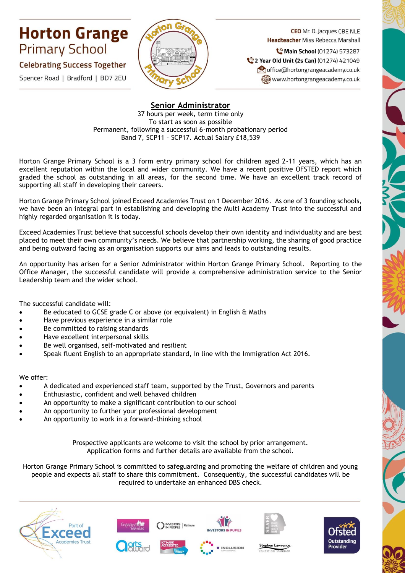## **Horton Grange Primary School**

## **Celebrating Success Together**

Spencer Road | Bradford | BD7 2EU



**CEO** Mr. D. Jacques CBE NLE **Headteacher Miss Rebecca Marshall** 

Main School (01274) 573287 2 Year Old Unit (2s Can) (01274) 421049 office@hortongrangeacademy.co.uk www.hortongrangeacademy.co.uk

## **Senior Administrator**

37 hours per week, term time only To start as soon as possible Permanent, following a successful 6-month probationary period Band 7, SCP11 – SCP17. Actual Salary £18,539

Horton Grange Primary School is a 3 form entry primary school for children aged 2-11 years, which has an excellent reputation within the local and wider community. We have a recent positive OFSTED report which graded the school as outstanding in all areas, for the second time. We have an excellent track record of supporting all staff in developing their careers.

Horton Grange Primary School joined Exceed Academies Trust on 1 December 2016. As one of 3 founding schools, we have been an integral part in establishing and developing the Multi Academy Trust into the successful and highly regarded organisation it is today.

Exceed Academies Trust believe that successful schools develop their own identity and individuality and are best placed to meet their own community's needs. We believe that partnership working, the sharing of good practice and being outward facing as an organisation supports our aims and leads to outstanding results.

An opportunity has arisen for a Senior Administrator within Horton Grange Primary School. Reporting to the Office Manager, the successful candidate will provide a comprehensive administration service to the Senior Leadership team and the wider school.

The successful candidate will:

- Be educated to GCSE grade C or above (or equivalent) in English & Maths
- Have previous experience in a similar role
- Be committed to raising standards
- Have excellent interpersonal skills
- Be well organised, self-motivated and resilient
- Speak fluent English to an appropriate standard, in line with the Immigration Act 2016.

We offer:

- A dedicated and experienced staff team, supported by the Trust, Governors and parents
- Enthusiastic, confident and well behaved children
- An opportunity to make a significant contribution to our school
- An opportunity to further your professional development
- An opportunity to work in a forward-thinking school

Prospective applicants are welcome to visit the school by prior arrangement. Application forms and further details are available from the school.

Horton Grange Primary School is committed to safeguarding and promoting the welfare of children and young people and expects all staff to share this commitment. Consequently, the successful candidates will be required to undertake an enhanced DBS check.